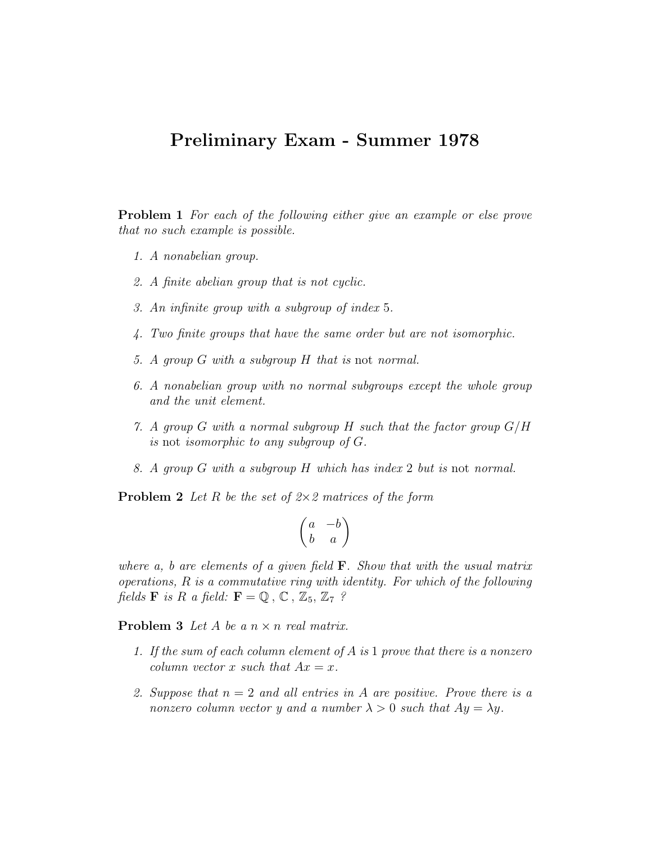## Preliminary Exam - Summer 1978

**Problem 1** For each of the following either give an example or else prove that no such example is possible.

- 1. A nonabelian group.
- 2. A finite abelian group that is not cyclic.
- 3. An infinite group with a subgroup of index 5.
- 4. Two finite groups that have the same order but are not isomorphic.
- 5. A group G with a subgroup H that is not normal.
- 6. A nonabelian group with no normal subgroups except the whole group and the unit element.
- 7. A group G with a normal subgroup H such that the factor group  $G/H$ is not isomorphic to any subgroup of G.
- 8. A group G with a subgroup H which has index 2 but is not normal.

**Problem 2** Let R be the set of  $2 \times 2$  matrices of the form

$$
\begin{pmatrix} a & -b \\ b & a \end{pmatrix}
$$

where a, b are elements of a given field  $\bf{F}$ . Show that with the usual matrix operations,  $R$  is a commutative ring with identity. For which of the following fields **F** is R a field:  $\mathbf{F} = \mathbb{Q}$ ,  $\mathbb{C}$ ,  $\mathbb{Z}_5$ ,  $\mathbb{Z}_7$ ?

**Problem 3** Let A be a  $n \times n$  real matrix.

- 1. If the sum of each column element of A is 1 prove that there is a nonzero column vector x such that  $Ax = x$ .
- 2. Suppose that  $n = 2$  and all entries in A are positive. Prove there is a nonzero column vector y and a number  $\lambda > 0$  such that  $Ay = \lambda y$ .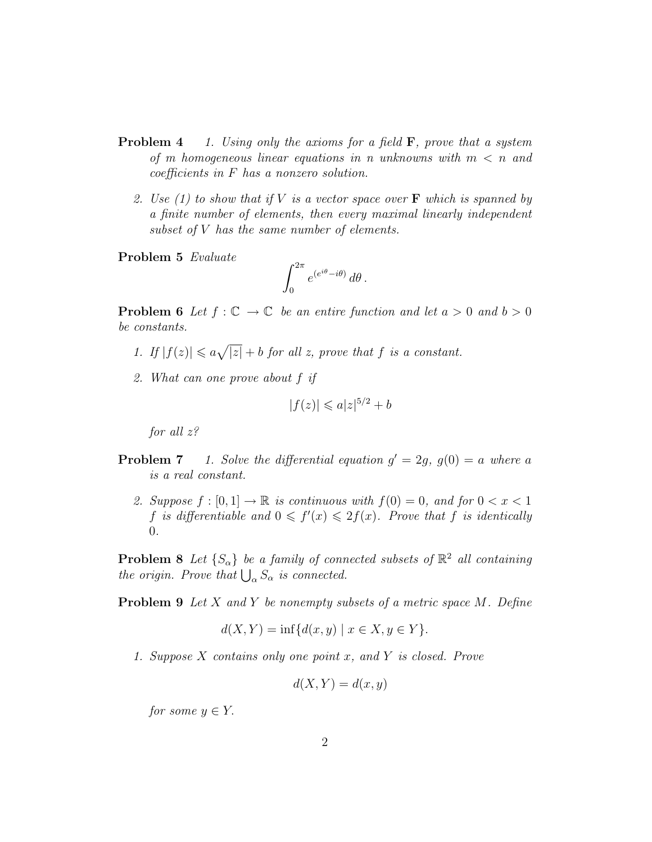- **Problem 4** 1. Using only the axioms for a field  $\mathbf{F}$ , prove that a system of m homogeneous linear equations in n unknowns with  $m < n$  and coefficients in F has a nonzero solution.
	- 2. Use (1) to show that if V is a vector space over  $\bf{F}$  which is spanned by a finite number of elements, then every maximal linearly independent subset of V has the same number of elements.

Problem 5 Evaluate

$$
\int_0^{2\pi} e^{(e^{i\theta}-i\theta)} d\theta.
$$

**Problem 6** Let  $f : \mathbb{C} \to \mathbb{C}$  be an entire function and let  $a > 0$  and  $b > 0$ be constants.

- 1. If  $|f(z)| \leq a\sqrt{|z|} + b$  for all z, prove that f is a constant.
- 2. What can one prove about f if

$$
|f(z)| \leqslant a|z|^{5/2} + b
$$

for all z?

- **Problem 7** 1. Solve the differential equation  $g' = 2g$ ,  $g(0) = a$  where a is a real constant.
	- 2. Suppose  $f : [0,1] \to \mathbb{R}$  is continuous with  $f(0) = 0$ , and for  $0 < x < 1$ f is differentiable and  $0 \leq f'(x) \leq 2f(x)$ . Prove that f is identically 0.

**Problem 8** Let  $\{S_{\alpha}\}\$ be a family of connected subsets of  $\mathbb{R}^2$  all containing the origin. Prove that  $\bigcup_{\alpha} S_{\alpha}$  is connected.

**Problem 9** Let X and Y be nonempty subsets of a metric space  $M$ . Define

$$
d(X, Y) = \inf \{ d(x, y) \mid x \in X, y \in Y \}.
$$

1. Suppose X contains only one point x, and Y is closed. Prove

$$
d(X, Y) = d(x, y)
$$

for some  $y \in Y$ .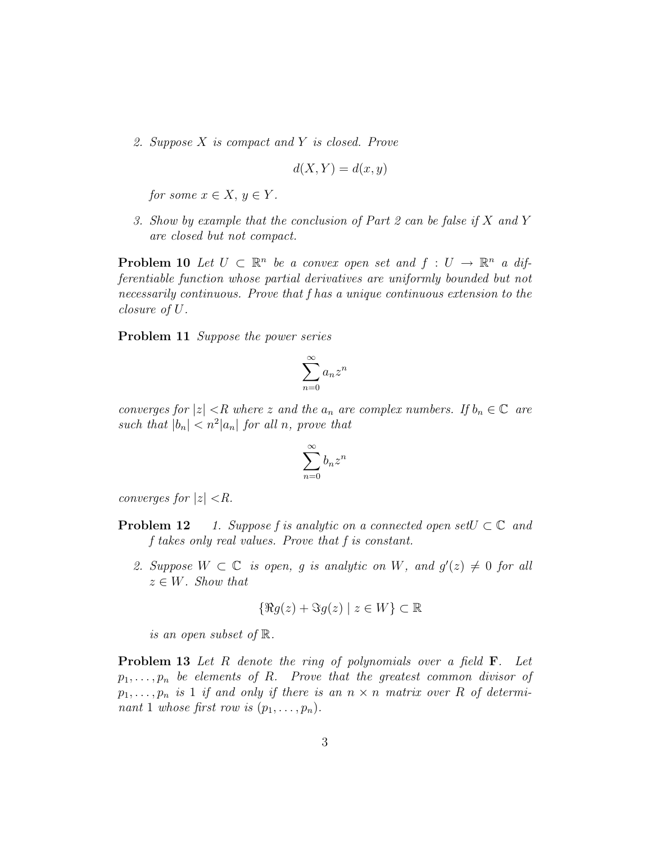2. Suppose X is compact and Y is closed. Prove

$$
d(X, Y) = d(x, y)
$$

for some  $x \in X, y \in Y$ .

3. Show by example that the conclusion of Part 2 can be false if X and Y are closed but not compact.

**Problem 10** Let  $U \subset \mathbb{R}^n$  be a convex open set and  $f : U \to \mathbb{R}^n$  a differentiable function whose partial derivatives are uniformly bounded but not necessarily continuous. Prove that f has a unique continuous extension to the closure of U.

Problem 11 Suppose the power series

$$
\sum_{n=0}^{\infty} a_n z^n
$$

converges for  $|z| < R$  where z and the  $a_n$  are complex numbers. If  $b_n \in \mathbb{C}$  are such that  $|b_n| < n^2 |a_n|$  for all n, prove that

$$
\sum_{n=0}^{\infty} b_n z^n
$$

converges for  $|z| < R$ .

- **Problem 12** 1. Suppose f is analytic on a connected open set  $U \subset \mathbb{C}$  and f takes only real values. Prove that f is constant.
	- 2. Suppose  $W \subset \mathbb{C}$  is open, g is analytic on W, and  $g'(z) \neq 0$  for all  $z \in W$ . Show that

$$
\{\Re g(z) + \Im g(z) \mid z \in W\} \subset \mathbb{R}
$$

is an open subset of R.

**Problem 13** Let R denote the ring of polynomials over a field **F**. Let  $p_1, \ldots, p_n$  be elements of R. Prove that the greatest common divisor of  $p_1, \ldots, p_n$  is 1 if and only if there is an  $n \times n$  matrix over R of determinant 1 whose first row is  $(p_1, \ldots, p_n)$ .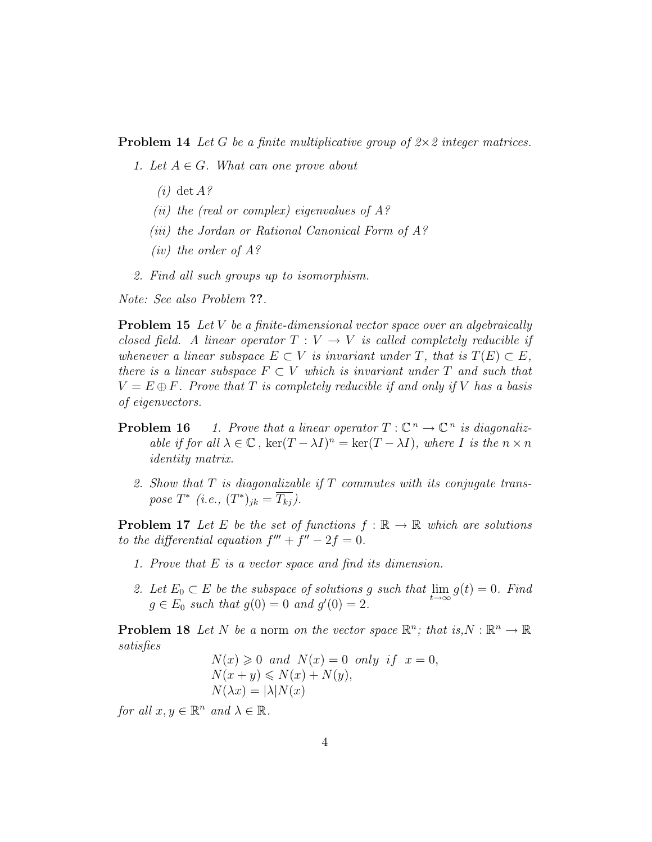**Problem 14** Let G be a finite multiplicative group of  $2 \times 2$  integer matrices.

- 1. Let  $A \in G$ . What can one prove about
	- $(i)$  det  $A$ ?
	- (*ii*) the (real or complex) eigenvalues of  $A$ ?
	- (iii) the Jordan or Rational Canonical Form of A?
	- (*iv*) the order of  $A$ ?
- 2. Find all such groups up to isomorphism.

Note: See also Problem ??.

**Problem 15** Let V be a finite-dimensional vector space over an algebraically closed field. A linear operator  $T: V \to V$  is called completely reducible if whenever a linear subspace  $E \subset V$  is invariant under T, that is  $T(E) \subset E$ , there is a linear subspace  $F \subset V$  which is invariant under T and such that  $V = E \oplus F$ . Prove that T is completely reducible if and only if V has a basis of eigenvectors.

- **Problem 16** 1. Prove that a linear operator  $T : \mathbb{C}^n \to \mathbb{C}^n$  is diagonalizable if for all  $\lambda \in \mathbb{C}$ ,  $\ker(T - \lambda I)^n = \ker(T - \lambda I)$ , where I is the  $n \times n$ identity matrix.
	- 2. Show that  $T$  is diagonalizable if  $T$  commutes with its conjugate transpose  $T^*$  (i.e.,  $(T^*)_{jk} = \overline{T_{kj}}$ ).

**Problem 17** Let E be the set of functions  $f : \mathbb{R} \to \mathbb{R}$  which are solutions to the differential equation  $f''' + f'' - 2f = 0$ .

- 1. Prove that E is a vector space and find its dimension.
- 2. Let  $E_0 \subset E$  be the subspace of solutions g such that  $\lim_{t \to \infty} g(t) = 0$ . Find  $g \in E_0$  such that  $g(0) = 0$  and  $g'(0) = 2$ .

**Problem 18** Let N be a norm on the vector space  $\mathbb{R}^n$ ; that is,  $N : \mathbb{R}^n \to \mathbb{R}$ satisfies

$$
N(x) \geq 0 \text{ and } N(x) = 0 \text{ only if } x = 0,
$$
  
\n
$$
N(x + y) \leq N(x) + N(y),
$$
  
\n
$$
N(\lambda x) = |\lambda| N(x)
$$

for all  $x, y \in \mathbb{R}^n$  and  $\lambda \in \mathbb{R}$ .